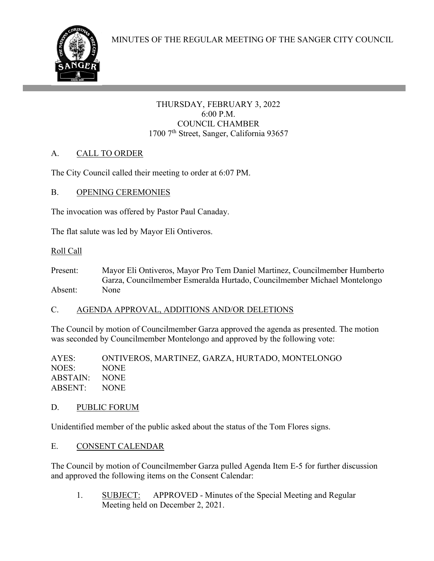#### THURSDAY, FEBRUARY 3, 2022 6:00 P.M. COUNCIL CHAMBER 1700 7<sup>th</sup> Street, Sanger, California 93657

# A. CALL TO ORDER

The City Council called their meeting to order at 6:07 PM.

## B. OPENING CEREMONIES

ł

The invocation was offered by Pastor Paul Canaday.

The flat salute was led by Mayor Eli Ontiveros.

## Roll Call

Present: Mayor Eli Ontiveros, Mayor Pro Tem Daniel Martinez, Councilmember Humberto Garza, Councilmember Esmeralda Hurtado, Councilmember Michael Montelongo Absent: None

## C. AGENDA APPROVAL, ADDITIONS AND/OR DELETIONS

The Council by motion of Councilmember Garza approved the agenda as presented. The motion was seconded by Councilmember Montelongo and approved by the following vote:

AYES: ONTIVEROS, MARTINEZ, GARZA, HURTADO, MONTELONGO NOES: NONE ABSTAIN: NONE ABSENT: NONE

## D. PUBLIC FORUM

Unidentified member of the public asked about the status of the Tom Flores signs.

## E. CONSENT CALENDAR

The Council by motion of Councilmember Garza pulled Agenda Item E-5 for further discussion and approved the following items on the Consent Calendar:

1. SUBJECT: APPROVED - Minutes of the Special Meeting and Regular Meeting held on December 2, 2021.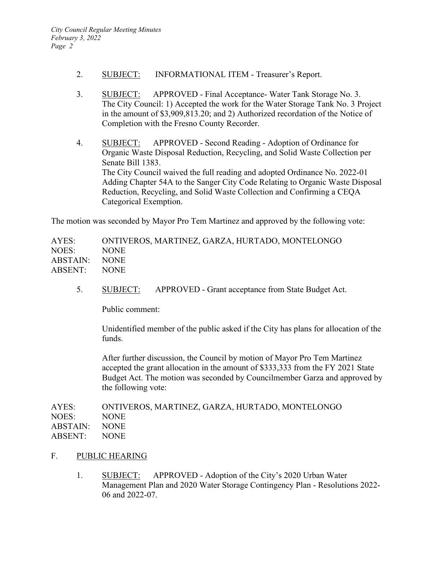- 2. SUBJECT: INFORMATIONAL ITEM Treasurer's Report.
- 3. SUBJECT: APPROVED Final Acceptance- Water Tank Storage No. 3. The City Council: 1) Accepted the work for the Water Storage Tank No. 3 Project in the amount of \$3,909,813.20; and 2) Authorized recordation of the Notice of Completion with the Fresno County Recorder.
- 4. SUBJECT: APPROVED Second Reading Adoption of Ordinance for Organic Waste Disposal Reduction, Recycling, and Solid Waste Collection per Senate Bill 1383. The City Council waived the full reading and adopted Ordinance No. 2022-01 Adding Chapter 54A to the Sanger City Code Relating to Organic Waste Disposal Reduction, Recycling, and Solid Waste Collection and Confirming a CEQA Categorical Exemption.

The motion was seconded by Mayor Pro Tem Martinez and approved by the following vote:

AYES: ONTIVEROS, MARTINEZ, GARZA, HURTADO, MONTELONGO NOES: NONE ABSTAIN: NONE ABSENT: NONE

5. SUBJECT: APPROVED - Grant acceptance from State Budget Act.

Public comment:

 Unidentified member of the public asked if the City has plans for allocation of the funds.

 After further discussion, the Council by motion of Mayor Pro Tem Martinez accepted the grant allocation in the amount of \$333,333 from the FY 2021 State Budget Act. The motion was seconded by Councilmember Garza and approved by the following vote:

| AYES:         | ONTIVEROS, MARTINEZ, GARZA, HURTADO, MONTELONGO |
|---------------|-------------------------------------------------|
| NOES:         | NONE.                                           |
| ABSTAIN: NONE |                                                 |
| ABSENT: NONE  |                                                 |
|               |                                                 |

- F. PUBLIC HEARING
	- 1. SUBJECT: APPROVED Adoption of the City's 2020 Urban Water Management Plan and 2020 Water Storage Contingency Plan - Resolutions 2022- 06 and 2022-07.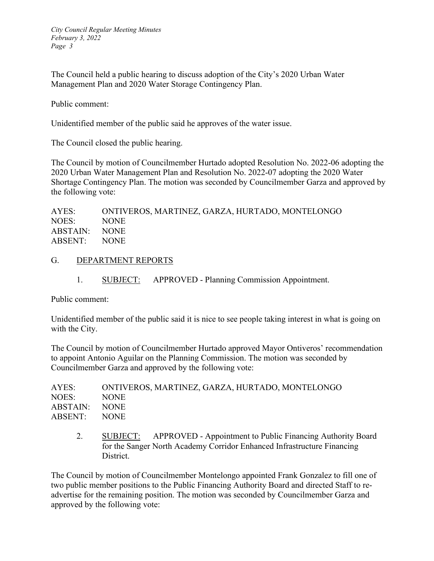The Council held a public hearing to discuss adoption of the City's 2020 Urban Water Management Plan and 2020 Water Storage Contingency Plan.

Public comment:

Unidentified member of the public said he approves of the water issue.

The Council closed the public hearing.

The Council by motion of Councilmember Hurtado adopted Resolution No. 2022-06 adopting the 2020 Urban Water Management Plan and Resolution No. 2022-07 adopting the 2020 Water Shortage Contingency Plan. The motion was seconded by Councilmember Garza and approved by the following vote:

| AYES:         | ONTIVEROS, MARTINEZ, GARZA, HURTADO, MONTELONGO |
|---------------|-------------------------------------------------|
| NOES:         | NONE.                                           |
| ABSTAIN: NONE |                                                 |
| ABSENT: NONE  |                                                 |

#### G. DEPARTMENT REPORTS

1. SUBJECT: APPROVED - Planning Commission Appointment.

Public comment:

Unidentified member of the public said it is nice to see people taking interest in what is going on with the City.

The Council by motion of Councilmember Hurtado approved Mayor Ontiveros' recommendation to appoint Antonio Aguilar on the Planning Commission. The motion was seconded by Councilmember Garza and approved by the following vote:

2. SUBJECT: APPROVED - Appointment to Public Financing Authority Board for the Sanger North Academy Corridor Enhanced Infrastructure Financing District.

The Council by motion of Councilmember Montelongo appointed Frank Gonzalez to fill one of two public member positions to the Public Financing Authority Board and directed Staff to readvertise for the remaining position. The motion was seconded by Councilmember Garza and approved by the following vote: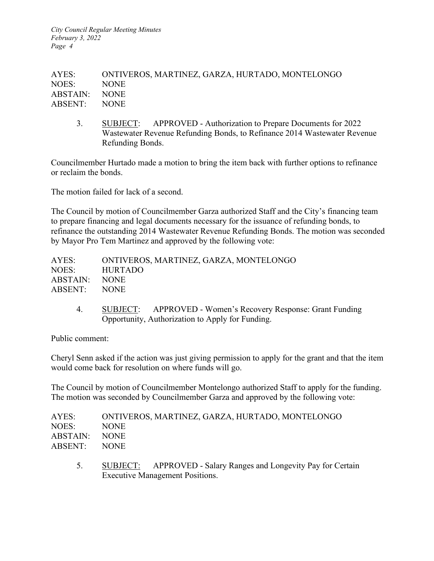*City Council Regular Meeting Minutes February 3, 2022 Page 4* 

AYES: ONTIVEROS, MARTINEZ, GARZA, HURTADO, MONTELONGO NOES: NONE ABSTAIN: NONE ABSENT: NONE

3. SUBJECT: APPROVED - Authorization to Prepare Documents for 2022 Wastewater Revenue Refunding Bonds, to Refinance 2014 Wastewater Revenue Refunding Bonds.

Councilmember Hurtado made a motion to bring the item back with further options to refinance or reclaim the bonds.

The motion failed for lack of a second.

The Council by motion of Councilmember Garza authorized Staff and the City's financing team to prepare financing and legal documents necessary for the issuance of refunding bonds, to refinance the outstanding 2014 Wastewater Revenue Refunding Bonds. The motion was seconded by Mayor Pro Tem Martinez and approved by the following vote:

| AYES:         | ONTIVEROS, MARTINEZ, GARZA, MONTELONGO |
|---------------|----------------------------------------|
| NOES:         | HURTADO                                |
| ABSTAIN: NONE |                                        |
| ABSENT: NONE  |                                        |

4. SUBJECT: APPROVED - Women's Recovery Response: Grant Funding Opportunity, Authorization to Apply for Funding.

Public comment:

Cheryl Senn asked if the action was just giving permission to apply for the grant and that the item would come back for resolution on where funds will go.

The Council by motion of Councilmember Montelongo authorized Staff to apply for the funding. The motion was seconded by Councilmember Garza and approved by the following vote:

| AYES:         | ONTIVEROS, MARTINEZ, GARZA, HURTADO, MONTELONGO |
|---------------|-------------------------------------------------|
| NOES:         | <b>NONE</b>                                     |
| ABSTAIN: NONE |                                                 |
| ABSENT: NONE  |                                                 |
|               |                                                 |

5. SUBJECT: APPROVED - Salary Ranges and Longevity Pay for Certain Executive Management Positions.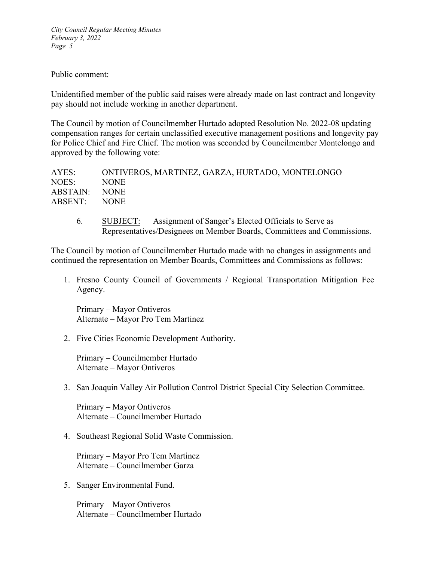*City Council Regular Meeting Minutes February 3, 2022 Page 5* 

#### Public comment:

Unidentified member of the public said raises were already made on last contract and longevity pay should not include working in another department.

The Council by motion of Councilmember Hurtado adopted Resolution No. 2022-08 updating compensation ranges for certain unclassified executive management positions and longevity pay for Police Chief and Fire Chief. The motion was seconded by Councilmember Montelongo and approved by the following vote:

| AYES:         | ONTIVEROS, MARTINEZ, GARZA, HURTADO, MONTELONGO |
|---------------|-------------------------------------------------|
| NOES:         | <b>NONE</b>                                     |
| ABSTAIN: NONE |                                                 |
| ABSENT: NONE  |                                                 |
|               |                                                 |

6. SUBJECT: Assignment of Sanger's Elected Officials to Serve as Representatives/Designees on Member Boards, Committees and Commissions.

The Council by motion of Councilmember Hurtado made with no changes in assignments and continued the representation on Member Boards, Committees and Commissions as follows:

1. Fresno County Council of Governments / Regional Transportation Mitigation Fee Agency.

Primary – Mayor Ontiveros Alternate – Mayor Pro Tem Martinez

2. Five Cities Economic Development Authority.

Primary – Councilmember Hurtado Alternate – Mayor Ontiveros

3. San Joaquin Valley Air Pollution Control District Special City Selection Committee.

Primary – Mayor Ontiveros Alternate – Councilmember Hurtado

4. Southeast Regional Solid Waste Commission.

Primary – Mayor Pro Tem Martinez Alternate – Councilmember Garza

5. Sanger Environmental Fund.

Primary – Mayor Ontiveros Alternate – Councilmember Hurtado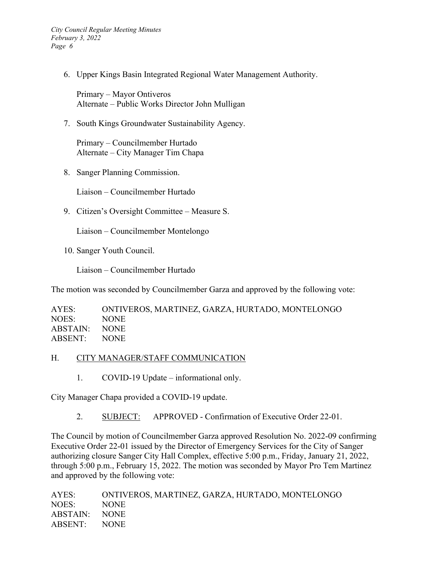*City Council Regular Meeting Minutes February 3, 2022 Page 6* 

6. Upper Kings Basin Integrated Regional Water Management Authority.

Primary – Mayor Ontiveros Alternate – Public Works Director John Mulligan

7. South Kings Groundwater Sustainability Agency.

Primary – Councilmember Hurtado Alternate – City Manager Tim Chapa

8. Sanger Planning Commission.

Liaison – Councilmember Hurtado

9. Citizen's Oversight Committee – Measure S.

Liaison – Councilmember Montelongo

10. Sanger Youth Council.

Liaison – Councilmember Hurtado

The motion was seconded by Councilmember Garza and approved by the following vote:

| AYES:         | ONTIVEROS, MARTINEZ, GARZA, HURTADO, MONTELONGO |
|---------------|-------------------------------------------------|
| NOES:         | NONE.                                           |
| ABSTAIN: NONE |                                                 |
| ABSENT: NONE  |                                                 |

#### H. CITY MANAGER/STAFF COMMUNICATION

1. COVID-19 Update – informational only.

City Manager Chapa provided a COVID-19 update.

2. SUBJECT: APPROVED - Confirmation of Executive Order 22-01.

The Council by motion of Councilmember Garza approved Resolution No. 2022-09 confirming Executive Order 22-01 issued by the Director of Emergency Services for the City of Sanger authorizing closure Sanger City Hall Complex, effective 5:00 p.m., Friday, January 21, 2022, through 5:00 p.m., February 15, 2022. The motion was seconded by Mayor Pro Tem Martinez and approved by the following vote:

| AYES:         | ONTIVEROS, MARTINEZ, GARZA, HURTADO, MONTELONGO |
|---------------|-------------------------------------------------|
| NOES:         | NONE.                                           |
| ABSTAIN: NONE |                                                 |
| ABSENT: NONE  |                                                 |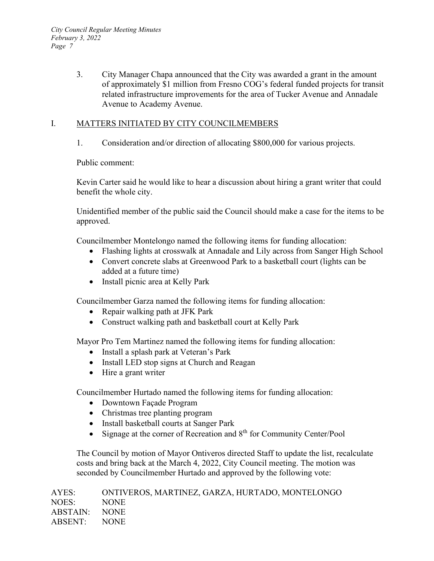3. City Manager Chapa announced that the City was awarded a grant in the amount of approximately \$1 million from Fresno COG's federal funded projects for transit related infrastructure improvements for the area of Tucker Avenue and Annadale Avenue to Academy Avenue.

## I. MATTERS INITIATED BY CITY COUNCILMEMBERS

1. Consideration and/or direction of allocating \$800,000 for various projects.

Public comment:

Kevin Carter said he would like to hear a discussion about hiring a grant writer that could benefit the whole city.

Unidentified member of the public said the Council should make a case for the items to be approved.

Councilmember Montelongo named the following items for funding allocation:

- Flashing lights at crosswalk at Annadale and Lily across from Sanger High School
- Convert concrete slabs at Greenwood Park to a basketball court (lights can be added at a future time)
- Install picnic area at Kelly Park

Councilmember Garza named the following items for funding allocation:

- Repair walking path at JFK Park
- Construct walking path and basketball court at Kelly Park

Mayor Pro Tem Martinez named the following items for funding allocation:

- Install a splash park at Veteran's Park
- Install LED stop signs at Church and Reagan
- Hire a grant writer

Councilmember Hurtado named the following items for funding allocation:

- Downtown Façade Program
- Christmas tree planting program
- Install basketball courts at Sanger Park
- Signage at the corner of Recreation and 8<sup>th</sup> for Community Center/Pool

The Council by motion of Mayor Ontiveros directed Staff to update the list, recalculate costs and bring back at the March 4, 2022, City Council meeting. The motion was seconded by Councilmember Hurtado and approved by the following vote:

| AYES:         | ONTIVEROS, MARTINEZ, GARZA, HURTADO, MONTELONGO |
|---------------|-------------------------------------------------|
| NOES:         | <b>NONE</b>                                     |
| ABSTAIN: NONE |                                                 |
| ABSENT: NONE  |                                                 |